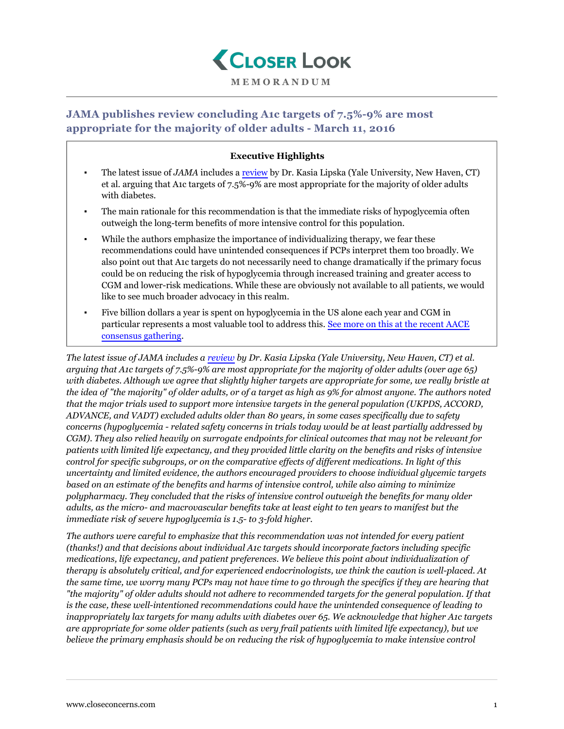

## **MEMORANDUM**

## **JAMA publishes review concluding A1c targets of 7.5%-9% are most appropriate for the majority of older adults - March 11, 2016**

## **Executive Highlights**

- The latest issue of *JAMA* includes a [review](http://jama.jamanetwork.com/article.aspx?articleid=2499252) by Dr. Kasia Lipska (Yale University, New Haven, CT) et al. arguing that A1c targets of 7.5%-9% are most appropriate for the majority of older adults with diabetes.
- The main rationale for this recommendation is that the immediate risks of hypoglycemia often outweigh the long-term benefits of more intensive control for this population.
- While the authors emphasize the importance of individualizing therapy, we fear these recommendations could have unintended consequences if PCPs interpret them too broadly. We also point out that A1c targets do not necessarily need to change dramatically if the primary focus could be on reducing the risk of hypoglycemia through increased training and greater access to CGM and lower-risk medications. While these are obviously not available to all patients, we would like to see much broader advocacy in this realm.
- Five billion dollars a year is spent on hypoglycemia in the US alone each year and CGM in particular represents a most valuable tool to address this. [See more on this at the recent AACE](https://www.closeconcerns.com/knowledgebase/r/fdbf2e89) [consensus gathering.](https://www.closeconcerns.com/knowledgebase/r/fdbf2e89)

*The latest issue of JAMA includes a [review](http://jama.jamanetwork.com/article.aspx?articleid=2499252) by Dr. Kasia Lipska (Yale University, New Haven, CT) et al. arguing that A1c targets of 7.5%-9% are most appropriate for the majority of older adults (over age 65) with diabetes. Although we agree that slightly higher targets are appropriate for some, we really bristle at the idea of "the majority" of older adults, or of a target as high as 9% for almost anyone. The authors noted that the major trials used to support more intensive targets in the general population (UKPDS, ACCORD, ADVANCE, and VADT) excluded adults older than 80 years, in some cases specifically due to safety concerns (hypoglycemia - related safety concerns in trials today would be at least partially addressed by CGM). They also relied heavily on surrogate endpoints for clinical outcomes that may not be relevant for patients with limited life expectancy, and they provided little clarity on the benefits and risks of intensive control for specific subgroups, or on the comparative effects of different medications. In light of this uncertainty and limited evidence, the authors encouraged providers to choose individual glycemic targets based on an estimate of the benefits and harms of intensive control, while also aiming to minimize polypharmacy. They concluded that the risks of intensive control outweigh the benefits for many older adults, as the micro- and macrovascular benefits take at least eight to ten years to manifest but the immediate risk of severe hypoglycemia is 1.5- to 3-fold higher.*

*The authors were careful to emphasize that this recommendation was not intended for every patient (thanks!) and that decisions about individual A1c targets should incorporate factors including specific medications, life expectancy, and patient preferences. We believe this point about individualization of therapy is absolutely critical, and for experienced endocrinologists, we think the caution is well-placed. At the same time, we worry many PCPs may not have time to go through the specifics if they are hearing that "the majority" of older adults should not adhere to recommended targets for the general population. If that is the case, these well-intentioned recommendations could have the unintended consequence of leading to inappropriately lax targets for many adults with diabetes over 65. We acknowledge that higher A1c targets are appropriate for some older patients (such as very frail patients with limited life expectancy), but we believe the primary emphasis should be on reducing the risk of hypoglycemia to make intensive control*